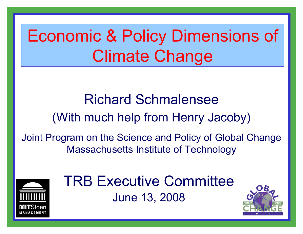# Economic & Policy Dimensions of Climate Change

Richard Schmalensee(With much help from Henry Jacoby)

Joint Program on the Science and Policy of Global Change Massachusetts Institute of Technology



TRB Executive CommitteeJune 13, 2008

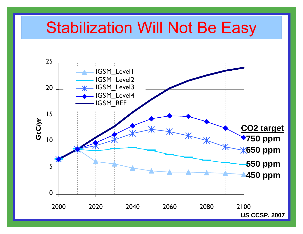### Stabilization Will Not Be Easy

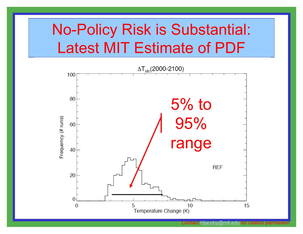### No-Policy Risk is Substantial: Latest MIT Estimate of PDF

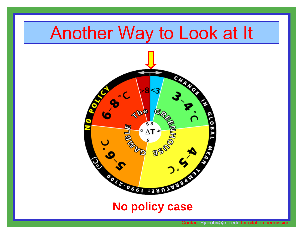## Another Way to Look at It



### **No policy case**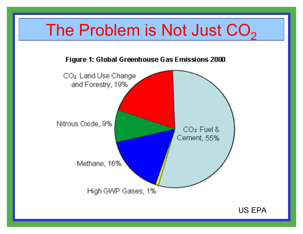#### The Problem is Not Just CO 2

#### Figure 1: Global Greenhouse Gas Emissions 2000



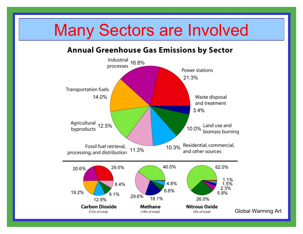### Many Sectors are Involved

#### **Annual Greenhouse Gas Emissions by Sector**

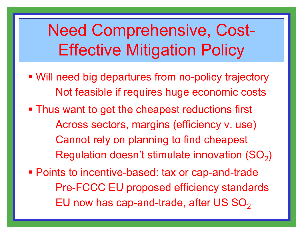# Need Comprehensive, Cost-Effective Mitigation Policy

- Will need big departures from no-policy trajectory Not feasible if requires huge economic costs
- **Thus want to get the cheapest reductions first** Across sectors, margins (efficiency v. use) Cannot rely on planning to find cheapest Regulation doesn't stimulate innovation (SO $_2)$
- **Points to incentive-based: tax or cap-and-trade** Pre-FCCC EU proposed efficiency standards EU now has cap-and-trade, after US SO $_{\rm 2}$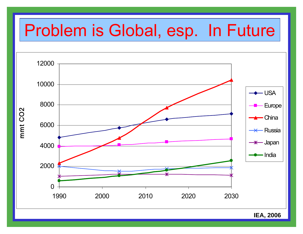## Problem is Global, esp. In Future



**IEA, 2006**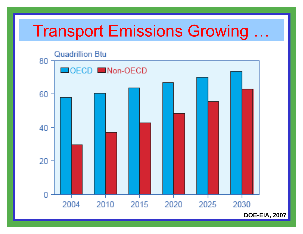### **Transport Emissions Growing**



**DOE-EIA, 2007**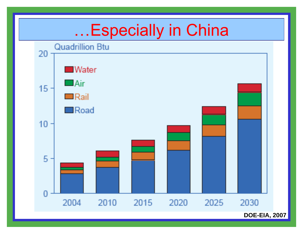

**DOE-EIA, 2007**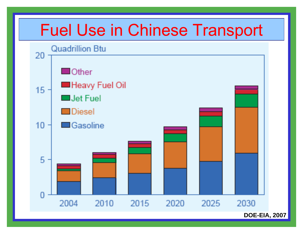

**DOE-EIA, 2007**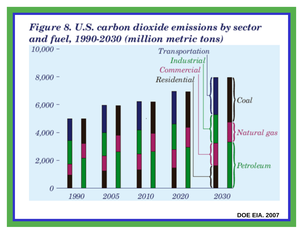

**DOE EIA. 2007**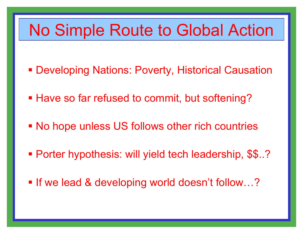### No Simple Route to Global Action

- Developing Nations: Poverty, Historical Causation
- **Have so far refused to commit, but softening?**
- No hope unless US follows other rich countries
- Porter hypothesis: will yield tech leadership, \$\$..?
- If we lead & developing world doesn't follow...?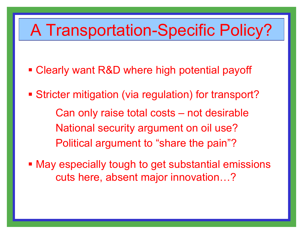### A Transportation-Specific Policy?

- Clearly want R&D where high potential payoff
- **Stricter mitigation (via regulation) for transport?** Can only raise total costs – not desirable National security argument on oil use? Political argument to "share the pain"?
- **May especially tough to get substantial emissions** cuts here, absent major innovation…?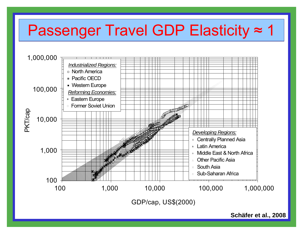#### Passenger Travel GDP Elasticity ≈ $\approx$  1



**Schäfer et al., 2008**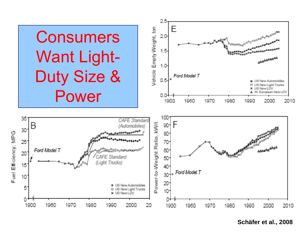

**Schäfer et al., 2008**